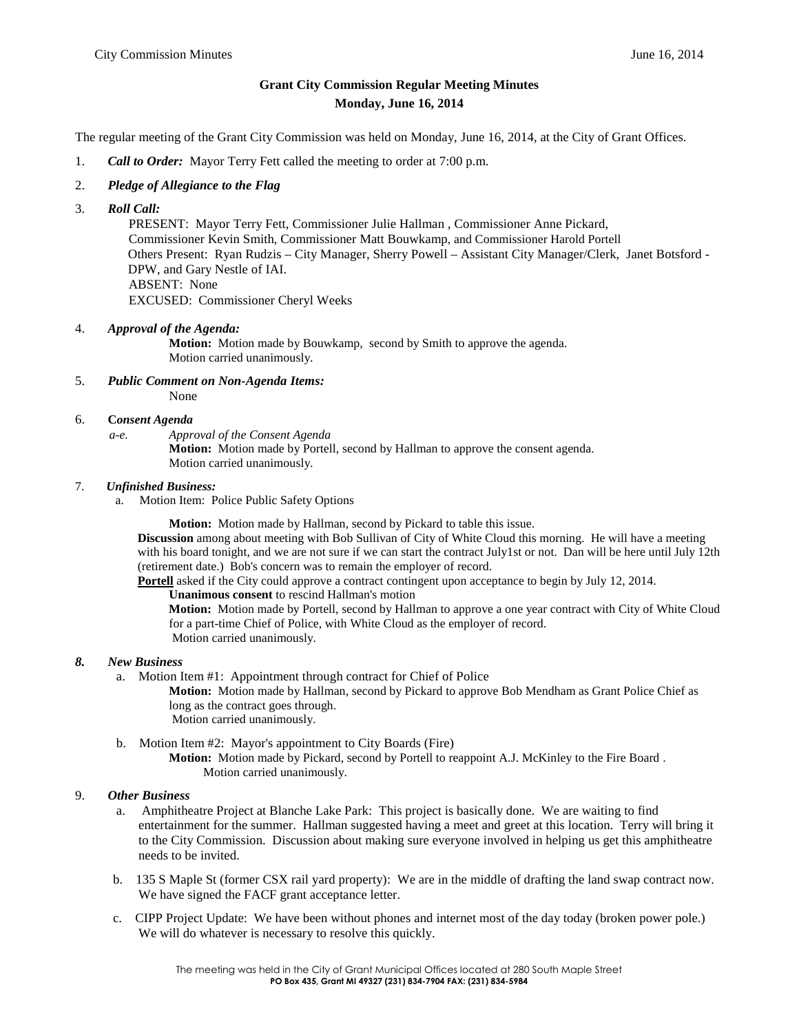## **Grant City Commission Regular Meeting Minutes Monday, June 16, 2014**

The regular meeting of the Grant City Commission was held on Monday, June 16, 2014, at the City of Grant Offices.

- 1. *Call to Order:* Mayor Terry Fett called the meeting to order at 7:00 p.m.
- 2. *Pledge of Allegiance to the Flag*
- 3. *Roll Call:*

PRESENT: Mayor Terry Fett, Commissioner Julie Hallman , Commissioner Anne Pickard, Commissioner Kevin Smith, Commissioner Matt Bouwkamp, and Commissioner Harold Portell Others Present: Ryan Rudzis – City Manager, Sherry Powell – Assistant City Manager/Clerk, Janet Botsford - DPW, and Gary Nestle of IAI. ABSENT: None EXCUSED: Commissioner Cheryl Weeks

4. *Approval of the Agenda:*

**Motion:** Motion made by Bouwkamp, second by Smith to approve the agenda. Motion carried unanimously.

- 5. *Public Comment on Non-Agenda Items:* None
- 6. **C***onsent Agenda*
	- *a-e. Approval of the Consent Agenda*

**Motion:** Motion made by Portell, second by Hallman to approve the consent agenda. Motion carried unanimously.

## 7. *Unfinished Business:*

a. Motion Item: Police Public Safety Options

**Motion:** Motion made by Hallman, second by Pickard to table this issue.

**Discussion** among about meeting with Bob Sullivan of City of White Cloud this morning. He will have a meeting with his board tonight, and we are not sure if we can start the contract July1st or not. Dan will be here until July 12th (retirement date.) Bob's concern was to remain the employer of record.

**Portell** asked if the City could approve a contract contingent upon acceptance to begin by July 12, 2014.

**Unanimous consent** to rescind Hallman's motion

**Motion:** Motion made by Portell, second by Hallman to approve a one year contract with City of White Cloud for a part-time Chief of Police, with White Cloud as the employer of record. Motion carried unanimously.

- *8. New Business*
	- a. Motion Item #1: Appointment through contract for Chief of Police

**Motion:** Motion made by Hallman, second by Pickard to approve Bob Mendham as Grant Police Chief as long as the contract goes through. Motion carried unanimously.

b. Motion Item #2: Mayor's appointment to City Boards (Fire) **Motion:** Motion made by Pickard, second by Portell to reappoint A.J. McKinley to the Fire Board . Motion carried unanimously.

## 9. *Other Business*

- a. Amphitheatre Project at Blanche Lake Park: This project is basically done. We are waiting to find entertainment for the summer. Hallman suggested having a meet and greet at this location. Terry will bring it to the City Commission. Discussion about making sure everyone involved in helping us get this amphitheatre needs to be invited.
- b. 135 S Maple St (former CSX rail yard property): We are in the middle of drafting the land swap contract now. We have signed the FACF grant acceptance letter.
- c. CIPP Project Update: We have been without phones and internet most of the day today (broken power pole.) We will do whatever is necessary to resolve this quickly.